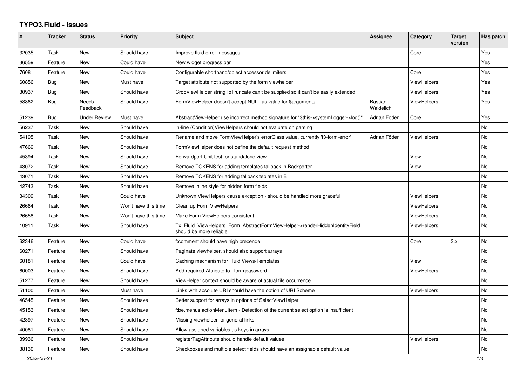## **TYPO3.Fluid - Issues**

| #     | Tracker | <b>Status</b>            | <b>Priority</b>      | <b>Subject</b>                                                                                         | <b>Assignee</b>      | Category           | <b>Target</b><br>version | Has patch |
|-------|---------|--------------------------|----------------------|--------------------------------------------------------------------------------------------------------|----------------------|--------------------|--------------------------|-----------|
| 32035 | Task    | <b>New</b>               | Should have          | Improve fluid error messages                                                                           |                      | Core               |                          | Yes       |
| 36559 | Feature | New                      | Could have           | New widget progress bar                                                                                |                      |                    |                          | Yes       |
| 7608  | Feature | New                      | Could have           | Configurable shorthand/object accessor delimiters                                                      |                      | Core               |                          | Yes       |
| 60856 | Bug     | New                      | Must have            | Target attribute not supported by the form viewhelper                                                  |                      | ViewHelpers        |                          | Yes       |
| 30937 | Bug     | New                      | Should have          | CropViewHelper stringToTruncate can't be supplied so it can't be easily extended                       |                      | ViewHelpers        |                          | Yes       |
| 58862 | Bug     | <b>Needs</b><br>Feedback | Should have          | FormViewHelper doesn't accept NULL as value for \$arguments                                            | Bastian<br>Waidelich | <b>ViewHelpers</b> |                          | Yes       |
| 51239 | Bug     | <b>Under Review</b>      | Must have            | AbstractViewHelper use incorrect method signature for "\$this->systemLogger->log()"                    | Adrian Föder         | Core               |                          | Yes       |
| 56237 | Task    | <b>New</b>               | Should have          | in-line (Condition) View Helpers should not evaluate on parsing                                        |                      |                    |                          | No        |
| 54195 | Task    | <b>New</b>               | Should have          | Rename and move FormViewHelper's errorClass value, currently 'f3-form-error'                           | Adrian Föder         | <b>ViewHelpers</b> |                          | <b>No</b> |
| 47669 | Task    | <b>New</b>               | Should have          | FormViewHelper does not define the default request method                                              |                      |                    |                          | No        |
| 45394 | Task    | New                      | Should have          | Forwardport Unit test for standalone view                                                              |                      | View               |                          | No        |
| 43072 | Task    | New                      | Should have          | Remove TOKENS for adding templates fallback in Backporter                                              |                      | View               |                          | <b>No</b> |
| 43071 | Task    | New                      | Should have          | Remove TOKENS for adding fallback teplates in B                                                        |                      |                    |                          | No        |
| 42743 | Task    | New                      | Should have          | Remove inline style for hidden form fields                                                             |                      |                    |                          | No        |
| 34309 | Task    | <b>New</b>               | Could have           | Unknown ViewHelpers cause exception - should be handled more graceful                                  |                      | ViewHelpers        |                          | No        |
| 26664 | Task    | <b>New</b>               | Won't have this time | Clean up Form ViewHelpers                                                                              |                      | ViewHelpers        |                          | <b>No</b> |
| 26658 | Task    | New                      | Won't have this time | Make Form ViewHelpers consistent                                                                       |                      | ViewHelpers        |                          | <b>No</b> |
| 10911 | Task    | <b>New</b>               | Should have          | Tx Fluid ViewHelpers Form AbstractFormViewHelper->renderHiddenIdentityField<br>should be more reliable |                      | ViewHelpers        |                          | <b>No</b> |
| 62346 | Feature | New                      | Could have           | f:comment should have high precende                                                                    |                      | Core               | 3.x                      | No        |
| 60271 | Feature | New                      | Should have          | Paginate viewhelper, should also support arrays                                                        |                      |                    |                          | <b>No</b> |
| 60181 | Feature | New                      | Could have           | Caching mechanism for Fluid Views/Templates                                                            |                      | View               |                          | <b>No</b> |
| 60003 | Feature | New                      | Should have          | Add required-Attribute to f:form.password                                                              |                      | ViewHelpers        |                          | No        |
| 51277 | Feature | New                      | Should have          | ViewHelper context should be aware of actual file occurrence                                           |                      |                    |                          | No        |
| 51100 | Feature | <b>New</b>               | Must have            | Links with absolute URI should have the option of URI Scheme                                           |                      | <b>ViewHelpers</b> |                          | No        |
| 46545 | Feature | New                      | Should have          | Better support for arrays in options of SelectViewHelper                                               |                      |                    |                          | No        |
| 45153 | Feature | New                      | Should have          | f:be.menus.actionMenuItem - Detection of the current select option is insufficient                     |                      |                    |                          | No        |
| 42397 | Feature | New                      | Should have          | Missing viewhelper for general links                                                                   |                      |                    |                          | No        |
| 40081 | Feature | New                      | Should have          | Allow assigned variables as keys in arrays                                                             |                      |                    |                          | No.       |
| 39936 | Feature | New                      | Should have          | registerTagAttribute should handle default values                                                      |                      | <b>ViewHelpers</b> |                          | No        |
| 38130 | Feature | New                      | Should have          | Checkboxes and multiple select fields should have an assignable default value                          |                      |                    |                          | No        |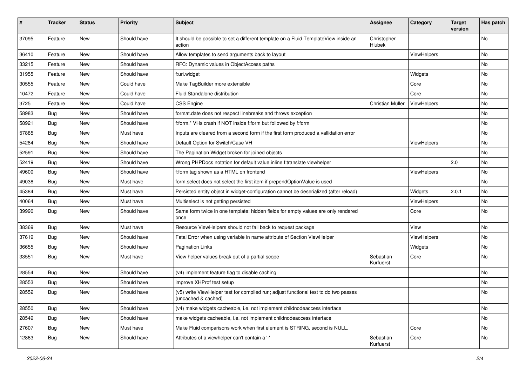| #     | <b>Tracker</b> | <b>Status</b> | <b>Priority</b> | Subject                                                                                                     | <b>Assignee</b>        | Category    | <b>Target</b><br>version | Has patch |
|-------|----------------|---------------|-----------------|-------------------------------------------------------------------------------------------------------------|------------------------|-------------|--------------------------|-----------|
| 37095 | Feature        | New           | Should have     | It should be possible to set a different template on a Fluid TemplateView inside an<br>action               | Christopher<br>Hlubek  |             |                          | No        |
| 36410 | Feature        | New           | Should have     | Allow templates to send arguments back to layout                                                            |                        | ViewHelpers |                          | No        |
| 33215 | Feature        | New           | Should have     | RFC: Dynamic values in ObjectAccess paths                                                                   |                        |             |                          | No        |
| 31955 | Feature        | New           | Should have     | f:uri.widget                                                                                                |                        | Widgets     |                          | No        |
| 30555 | Feature        | New           | Could have      | Make TagBuilder more extensible                                                                             |                        | Core        |                          | No.       |
| 10472 | Feature        | New           | Could have      | Fluid Standalone distribution                                                                               |                        | Core        |                          | No        |
| 3725  | Feature        | New           | Could have      | <b>CSS Engine</b>                                                                                           | Christian Müller       | ViewHelpers |                          | No.       |
| 58983 | Bug            | New           | Should have     | format.date does not respect linebreaks and throws exception                                                |                        |             |                          | No        |
| 58921 | Bug            | New           | Should have     | f:form.* VHs crash if NOT inside f:form but followed by f:form                                              |                        |             |                          | No        |
| 57885 | Bug            | New           | Must have       | Inputs are cleared from a second form if the first form produced a vallidation error                        |                        |             |                          | No.       |
| 54284 | Bug            | New           | Should have     | Default Option for Switch/Case VH                                                                           |                        | ViewHelpers |                          | No        |
| 52591 | Bug            | New           | Should have     | The Pagination Widget broken for joined objects                                                             |                        |             |                          | No        |
| 52419 | Bug            | New           | Should have     | Wrong PHPDocs notation for default value inline f:translate viewhelper                                      |                        |             | 2.0                      | No        |
| 49600 | Bug            | New           | Should have     | f:form tag shown as a HTML on frontend                                                                      |                        | ViewHelpers |                          | No        |
| 49038 | Bug            | New           | Must have       | form.select does not select the first item if prependOptionValue is used                                    |                        |             |                          | No        |
| 45384 | Bug            | New           | Must have       | Persisted entity object in widget-configuration cannot be deserialized (after reload)                       |                        | Widgets     | 2.0.1                    | No        |
| 40064 | Bug            | New           | Must have       | Multiselect is not getting persisted                                                                        |                        | ViewHelpers |                          | No        |
| 39990 | Bug            | New           | Should have     | Same form twice in one template: hidden fields for empty values are only rendered<br>once                   |                        | Core        |                          | No        |
| 38369 | Bug            | <b>New</b>    | Must have       | Resource ViewHelpers should not fall back to request package                                                |                        | View        |                          | No        |
| 37619 | Bug            | New           | Should have     | Fatal Error when using variable in name attribute of Section ViewHelper                                     |                        | ViewHelpers |                          | No        |
| 36655 | Bug            | New           | Should have     | <b>Pagination Links</b>                                                                                     |                        | Widgets     |                          | No        |
| 33551 | Bug            | New           | Must have       | View helper values break out of a partial scope                                                             | Sebastian<br>Kurfuerst | Core        |                          | No        |
| 28554 | Bug            | New           | Should have     | (v4) implement feature flag to disable caching                                                              |                        |             |                          | No        |
| 28553 | Bug            | New           | Should have     | improve XHProf test setup                                                                                   |                        |             |                          | No        |
| 28552 | Bug            | New           | Should have     | (v5) write ViewHelper test for compiled run; adjust functional test to do two passes<br>(uncached & cached) |                        |             |                          | No        |
| 28550 | <b>Bug</b>     | New           | Should have     | (v4) make widgets cacheable, i.e. not implement childnodeaccess interface                                   |                        |             |                          | No        |
| 28549 | <b>Bug</b>     | New           | Should have     | make widgets cacheable, i.e. not implement childnodeaccess interface                                        |                        |             |                          | No        |
| 27607 | Bug            | New           | Must have       | Make Fluid comparisons work when first element is STRING, second is NULL.                                   |                        | Core        |                          | No        |
| 12863 | Bug            | New           | Should have     | Attributes of a viewhelper can't contain a '-'                                                              | Sebastian<br>Kurfuerst | Core        |                          | No        |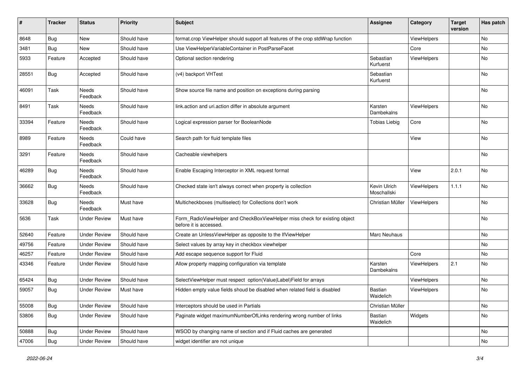| #     | <b>Tracker</b> | <b>Status</b>            | <b>Priority</b> | Subject                                                                                              | <b>Assignee</b>             | Category    | <b>Target</b><br>version | Has patch |
|-------|----------------|--------------------------|-----------------|------------------------------------------------------------------------------------------------------|-----------------------------|-------------|--------------------------|-----------|
| 8648  | Bug            | New                      | Should have     | format.crop ViewHelper should support all features of the crop stdWrap function                      |                             | ViewHelpers |                          | No        |
| 3481  | Bug            | New                      | Should have     | Use ViewHelperVariableContainer in PostParseFacet                                                    |                             | Core        |                          | No        |
| 5933  | Feature        | Accepted                 | Should have     | Optional section rendering                                                                           | Sebastian<br>Kurfuerst      | ViewHelpers |                          | No        |
| 28551 | Bug            | Accepted                 | Should have     | (v4) backport VHTest                                                                                 | Sebastian<br>Kurfuerst      |             |                          | No        |
| 46091 | Task           | <b>Needs</b><br>Feedback | Should have     | Show source file name and position on exceptions during parsing                                      |                             |             |                          | No        |
| 8491  | Task           | Needs<br>Feedback        | Should have     | link.action and uri.action differ in absolute argument                                               | Karsten<br>Dambekalns       | ViewHelpers |                          | No        |
| 33394 | Feature        | Needs<br>Feedback        | Should have     | Logical expression parser for BooleanNode                                                            | <b>Tobias Liebig</b>        | Core        |                          | No        |
| 8989  | Feature        | Needs<br>Feedback        | Could have      | Search path for fluid template files                                                                 |                             | View        |                          | No        |
| 3291  | Feature        | Needs<br>Feedback        | Should have     | Cacheable viewhelpers                                                                                |                             |             |                          | No        |
| 46289 | Bug            | Needs<br>Feedback        | Should have     | Enable Escaping Interceptor in XML request format                                                    |                             | View        | 2.0.1                    | No        |
| 36662 | Bug            | Needs<br>Feedback        | Should have     | Checked state isn't always correct when property is collection                                       | Kevin Ulrich<br>Moschallski | ViewHelpers | 1.1.1                    | No        |
| 33628 | <b>Bug</b>     | Needs<br>Feedback        | Must have       | Multicheckboxes (multiselect) for Collections don't work                                             | Christian Müller            | ViewHelpers |                          | No        |
| 5636  | Task           | Under Review             | Must have       | Form_RadioViewHelper and CheckBoxViewHelper miss check for existing object<br>before it is accessed. |                             |             |                          | No        |
| 52640 | Feature        | <b>Under Review</b>      | Should have     | Create an UnlessViewHelper as opposite to the IfViewHelper                                           | Marc Neuhaus                |             |                          | No        |
| 49756 | Feature        | <b>Under Review</b>      | Should have     | Select values by array key in checkbox viewhelper                                                    |                             |             |                          | No        |
| 46257 | Feature        | <b>Under Review</b>      | Should have     | Add escape sequence support for Fluid                                                                |                             | Core        |                          | No        |
| 43346 | Feature        | <b>Under Review</b>      | Should have     | Allow property mapping configuration via template                                                    | Karsten<br>Dambekalns       | ViewHelpers | 2.1                      | No        |
| 65424 | Bug            | <b>Under Review</b>      | Should have     | SelectViewHelper must respect option(Value Label)Field for arrays                                    |                             | ViewHelpers |                          | No        |
| 59057 | Bug            | Under Review             | Must have       | Hidden empty value fields shoud be disabled when related field is disabled                           | <b>Bastian</b><br>Waidelich | ViewHelpers |                          | No        |
| 55008 | Bug            | <b>Under Review</b>      | Should have     | Interceptors should be used in Partials                                                              | Christian Müller            |             |                          | No        |
| 53806 | <b>Bug</b>     | <b>Under Review</b>      | Should have     | Paginate widget maximumNumberOfLinks rendering wrong number of links                                 | Bastian<br>Waidelich        | Widgets     |                          | No        |
| 50888 | <b>Bug</b>     | <b>Under Review</b>      | Should have     | WSOD by changing name of section and if Fluid caches are generated                                   |                             |             |                          | No        |
| 47006 | Bug            | <b>Under Review</b>      | Should have     | widget identifier are not unique                                                                     |                             |             |                          | No        |